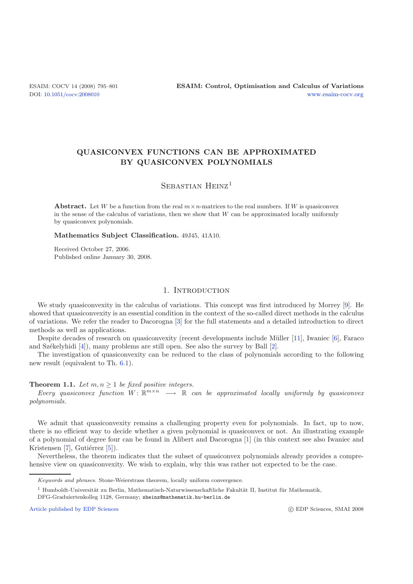# **QUASICONVEX FUNCTIONS CAN BE APPROXIMATED BY QUASICONVEX POLYNOMIALS**

## SEBASTIAN HEINZ<sup>1</sup>

**Abstract.** Let *W* be a function from the real  $m \times n$ -matrices to the real numbers. If *W* is quasiconvex in the sense of the calculus of variations, then we show that *W* can be approximated locally uniformly by quasiconvex polynomials.

**Mathematics Subject Classification.** 49J45, 41A10.

Received October 27, 2006. Published online January 30, 2008.

### 1. INTRODUCTION

We study quasiconvexity in the calculus of variations. This concept was first introduced by Morrey [\[9\]](#page-6-0). He showed that quasiconvexity is an essential condition in the context of the so-called direct methods in the calculus of variations. We refer the reader to Dacorogna [\[3\]](#page-6-1) for the full statements and a detailed introduction to direct methods as well as applications.

Despite decades of research on quasiconvexity (recent developments include M¨uller [\[11\]](#page-6-2), Iwaniec [\[6\]](#page-6-3), Faraco and Székelyhidi  $[4]$ ), many problems are still open. See also the survey by Ball  $[2]$  $[2]$ .

The investigation of quasiconvexity can be reduced to the class of polynomials according to the following new result (equivalent to Th. [6.1\)](#page-4-0).

#### **Theorem 1.1.** *Let*  $m, n \geq 1$  *be fixed positive integers.*

*Every quasiconvex function*  $W: \mathbb{R}^{m \times n} \longrightarrow \mathbb{R}$  *can be approximated locally uniformly by quasiconvex polynomials.*

We admit that quasiconvexity remains a challenging property even for polynomials. In fact, up to now, there is no efficient way to decide whether a given polynomial is quasiconvex or not. An illustrating example of a polynomial of degree four can be found in Alibert and Dacorogna [\[1](#page-6-6)] (in this context see also Iwaniec and Kristensen  $[7]$  $[7]$ , Gutiérrez  $[5]$  $[5]$ ).

Nevertheless, the theorem indicates that the subset of quasiconvex polynomials already provides a comprehensive view on quasiconvexity. We wish to explain, why this was rather not expected to be the case.

[Article published by EDP Sciences](http://www.edpsciences.org)

Keywords and phrases. Stone-Weierstrass theorem, locally uniform convergence.

 $^{\rm 1}$  Humboldt-Universität zu Berlin, Mathematisch-Naturwissenschaftliche Fakultät II, Institut für Mathematik,

DFG-Graduiertenkolleg 1128, Germany; sheinz@mathematik.hu-berlin.de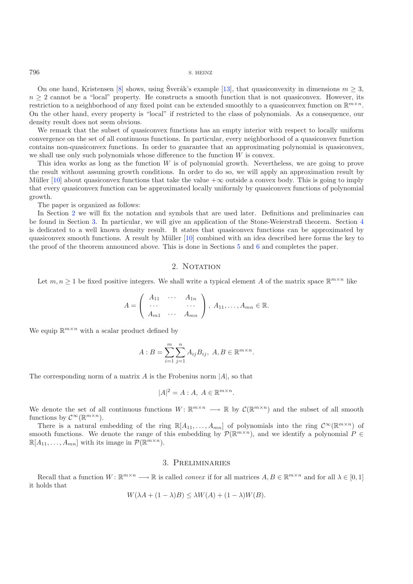#### 796 S. HEINZ

On one hand, Kristensen [\[8](#page-6-9)] shows, using Šverák's example [\[13\]](#page-6-10), that quasiconvexity in dimensions  $m \geq 3$ ,  $n \geq 2$  cannot be a "local" property. He constructs a smooth function that is not quasiconvex. However, its restriction to a neighborhood of any fixed point can be extended smoothly to a quasiconvex function on  $\mathbb{R}^{m\times n}$ . On the other hand, every property is "local" if restricted to the class of polynomials. As a consequence, our density result does not seem obvious.

We remark that the subset of quasiconvex functions has an empty interior with respect to locally uniform convergence on the set of all continuous functions. In particular, every neighborhood of a quasiconvex function contains non-quasiconvex functions. In order to guarantee that an approximating polynomial is quasiconvex, we shall use only such polynomials whose difference to the function  $W$  is convex.

This idea works as long as the function W is of polynomial growth. Nevertheless, we are going to prove the result without assuming growth conditions. In order to do so, we will apply an approximation result by Müller [\[10\]](#page-6-11) about quasiconvex functions that take the value  $+\infty$  outside a convex body. This is going to imply that every quasiconvex function can be approximated locally uniformly by quasiconvex functions of polynomial growth.

The paper is organized as follows:

In Section [2](#page-1-0) we will fix the notation and symbols that are used later. Definitions and preliminaries can be found in Section [3.](#page-1-1) In particular, we will give an application of the Stone-Weierstraß theorem. Section [4](#page-3-0) is dedicated to a well known density result. It states that quasiconvex functions can be approximated by quasiconvex smooth functions. A result by Müller [\[10](#page-6-11)] combined with an idea described here forms the key to the proof of the theorem announced above. This is done in Sections [5](#page-3-1) and [6](#page-4-1) and completes the paper.

#### 2. NOTATION

<span id="page-1-0"></span>Let  $m, n \geq 1$  be fixed positive integers. We shall write a typical element A of the matrix space  $\mathbb{R}^{m \times n}$  like

$$
A = \left(\begin{array}{ccc} A_{11} & \cdots & A_{1n} \\ \cdots & & \cdots \\ A_{m1} & \cdots & A_{mn} \end{array}\right), A_{11}, \ldots, A_{mn} \in \mathbb{R}.
$$

We equip  $\mathbb{R}^{m \times n}$  with a scalar product defined by

$$
A: B = \sum_{i=1}^{m} \sum_{j=1}^{n} A_{ij} B_{ij}, \ A, B \in \mathbb{R}^{m \times n}.
$$

The corresponding norm of a matrix  $A$  is the Frobenius norm  $|A|$ , so that

$$
|A|^2 = A : A, \ A \in \mathbb{R}^{m \times n}.
$$

We denote the set of all continuous functions  $W: \mathbb{R}^{m \times n} \longrightarrow \mathbb{R}$  by  $\mathcal{C}(\mathbb{R}^{m \times n})$  and the subset of all smooth functions by  $C^{\infty}(\mathbb{R}^{m \times n})$ .

There is a natural embedding of the ring  $\mathbb{R}[A_{11},\ldots,A_{mn}]$  of polynomials into the ring  $\mathcal{C}^{\infty}(\mathbb{R}^{m\times n})$  of smooth functions. We denote the range of this embedding by  $\mathcal{P}(\mathbb{R}^{m\times n})$ , and we identify a polynomial P ∈  $\mathbb{R}[A_{11},\ldots,A_{mn}]$  with its image in  $\mathcal{P}(\mathbb{R}^{m\times n})$ .

#### 3. Preliminaries

<span id="page-1-1"></span>Recall that a function  $W : \mathbb{R}^{m \times n} \longrightarrow \mathbb{R}$  is called *convex* if for all matrices  $A, B \in \mathbb{R}^{m \times n}$  and for all  $\lambda \in [0, 1]$ it holds that

$$
W(\lambda A + (1 - \lambda)B) \le \lambda W(A) + (1 - \lambda)W(B).
$$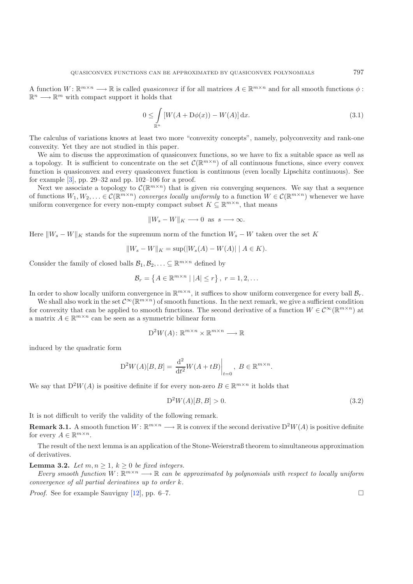<span id="page-2-0"></span>A function  $W: \mathbb{R}^{m \times n} \longrightarrow \mathbb{R}$  is called *quasiconvex* if for all matrices  $A \in \mathbb{R}^{m \times n}$  and for all smooth functions  $\phi$ :  $\mathbb{R}^n \longrightarrow \mathbb{R}^m$  with compact support it holds that

$$
0 \leq \int\limits_{\mathbb{R}^n} \left[ W(A + \mathcal{D}\phi(x)) - W(A) \right] \mathrm{d}x. \tag{3.1}
$$

The calculus of variations knows at least two more "convexity concepts", namely, polyconvexity and rank-one convexity. Yet they are not studied in this paper.

We aim to discuss the approximation of quasiconvex functions, so we have to fix a suitable space as well as a topology. It is sufficient to concentrate on the set  $\mathcal{C}(\mathbb{R}^{m\times n})$  of all continuous functions, since every convex function is quasiconvex and every quasiconvex function is continuous (even locally Lipschitz continuous). See for example [\[3](#page-6-1)], pp. 29–32 and pp. 102–106 for a proof.

Next we associate a topology to  $\mathcal{C}(\mathbb{R}^{m\times n})$  that is given *via* converging sequences. We say that a sequence of functions  $W_1, W_2, \ldots \in \mathcal{C}(\mathbb{R}^{m \times n})$  *converges locally uniformly* to a function  $W \in \mathcal{C}(\mathbb{R}^{m \times n})$  whenever we have uniform convergence for every non-empty compact subset  $K \subseteq \mathbb{R}^{m \times n}$ , that means

 $\|W_s - W\|_K \longrightarrow 0$  as  $s \longrightarrow \infty$ .

Here  $||W_s - W||_K$  stands for the supremum norm of the function  $W_s - W$  taken over the set K

$$
||W_s - W||_K = \sup(|W_s(A) - W(A)| \mid A \in K).
$$

Consider the family of closed balls  $\mathcal{B}_1, \mathcal{B}_2, \ldots \subseteq \mathbb{R}^{m \times n}$  defined by

<span id="page-2-3"></span>
$$
\mathcal{B}_r = \left\{ A \in \mathbb{R}^{m \times n} \mid |A| \leq r \right\}, \ r = 1, 2, \dots
$$

In order to show locally uniform convergence in  $\mathbb{R}^{m\times n}$ , it suffices to show uniform convergence for every ball  $\mathcal{B}_r$ .

We shall also work in the set  $\mathcal{C}^{\infty}(\mathbb{R}^{m\times n})$  of smooth functions. In the next remark, we give a sufficient condition for convexity that can be applied to smooth functions. The second derivative of a function  $W \in C^{\infty}(\mathbb{R}^{m \times n})$  at a matrix  $A \in \mathbb{R}^{m \times n}$  can be seen as a symmetric bilinear form

$$
\mathcal{D}^2W(A) \colon \mathbb{R}^{m \times n} \times \mathbb{R}^{m \times n} \longrightarrow \mathbb{R}
$$

induced by the quadratic form

$$
D^{2}W(A)[B,B] = \frac{d^{2}}{dt^{2}}W(A+tB)\Big|_{t=0}, B \in \mathbb{R}^{m \times n}.
$$

We say that  $D^2W(A)$  is positive definite if for every non-zero  $B \in \mathbb{R}^{m \times n}$  it holds that

$$
D^2W(A)[B,B] > 0.
$$
\n(3.2)

<span id="page-2-1"></span>It is not difficult to verify the validity of the following remark.

**Remark 3.1.** A smooth function  $W: \mathbb{R}^{m \times n} \longrightarrow \mathbb{R}$  is convex if the second derivative  $D^2W(A)$  is positive definite for every  $A \in \mathbb{R}^{m \times n}$ .

<span id="page-2-2"></span>The result of the next lemma is an application of the Stone-Weierstraß theorem to simultaneous approximation of derivatives.

**Lemma 3.2.** *Let*  $m, n \geq 1, k \geq 0$  *be fixed integers.* 

*Every smooth function*  $W: \mathbb{R}^{m \times n} \longrightarrow \mathbb{R}$  *can be approximated by polynomials with respect to locally uniform convergence of all partial derivatives up to order* k*.*

*Proof.* See for example Sauvigny [\[12\]](#page-6-12), pp. 6–7.  $\Box$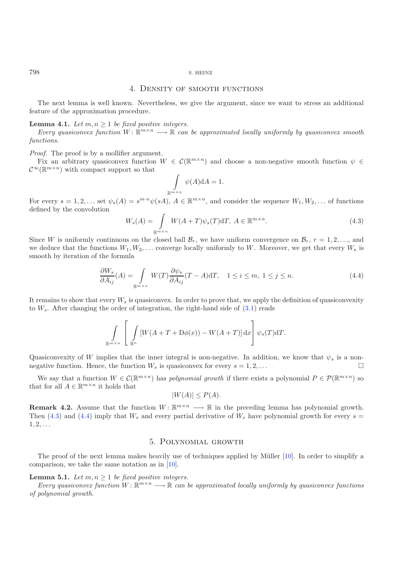#### <span id="page-3-0"></span>798 S. HEINZ

#### 4. Density of smooth functions

<span id="page-3-4"></span>The next lemma is well known. Nevertheless, we give the argument, since we want to stress an additional feature of the approximation procedure.

#### <span id="page-3-2"></span>**Lemma 4.1.** *Let*  $m, n \geq 1$  *be fixed positive integers.*

*Every quasiconvex function*  $W: \mathbb{R}^{m \times n} \longrightarrow \mathbb{R}$  *can be approximated locally uniformly by quasiconvex smooth functions.*

*Proof.* The proof is by a mollifier argument.

<span id="page-3-3"></span>Fix an arbitrary quasiconvex function  $W \in \mathcal{C}(\mathbb{R}^{m \times n})$  and choose a non-negative smooth function  $\psi \in$  $\mathcal{C}^{\infty}(\mathbb{R}^{m \times n})$  with compact support so that

$$
\int_{\mathbb{R}^{m \times n}} \psi(A) \mathrm{d}A = 1.
$$

For every  $s = 1, 2, \ldots$  set  $\psi_s(A) = s^{m \cdot n} \psi(sA), A \in \mathbb{R}^{m \times n}$ , and consider the sequence  $W_1, W_2, \ldots$  of functions defined by the convolution

$$
W_s(A) = \int_{\mathbb{R}^{m \times n}} W(A+T)\psi_s(T)dT, \ A \in \mathbb{R}^{m \times n}.
$$
\n(4.3)

Since W is uniformly continuous on the closed ball  $\mathcal{B}_r$ , we have uniform convergence on  $\mathcal{B}_r$ ,  $r = 1, 2, \ldots$ , and we deduce that the functions  $W_1, W_2, \ldots$  converge locally uniformly to W. Moreover, we get that every  $W_s$  is smooth by iteration of the formula

$$
\frac{\partial W_s}{\partial A_{ij}}(A) = \int_{\mathbb{R}^{m \times n}} W(T) \frac{\partial \psi_s}{\partial A_{ij}}(T - A) dT, \quad 1 \le i \le m, \ 1 \le j \le n. \tag{4.4}
$$

It remains to show that every <sup>W</sup>*<sup>s</sup>* is quasiconvex. In order to prove that, we apply the definition of quasiconvexity to  $W_s$ . After changing the order of integration, the right-hand side of  $(3.1)$  reads

$$
\int_{\mathbb{R}^{m \times n}} \left[ \int_{\mathbb{R}^n} \left[ W(A + T + D\phi(x)) - W(A + T) \right] dx \right] \psi_s(T) dT.
$$

Quasiconvexity of W implies that the inner integral is non-negative. In addition, we know that  $\psi_s$  is a nonnegative function. Hence, the function  $W_s$  is quasiconvex for every  $s = 1, 2, \ldots$ 

We say that a function  $W \in C(\mathbb{R}^{m \times n})$  has *polynomial growth* if there exists a polynomial  $P \in \mathcal{P}(\mathbb{R}^{m \times n})$  so that for all  $A \in \mathbb{R}^{m \times n}$  it holds that

$$
|W(A)| \le P(A).
$$

<span id="page-3-6"></span>**Remark 4.2.** Assume that the function  $W: \mathbb{R}^{m \times n} \longrightarrow \mathbb{R}$  in the preceding lemma has polynomial growth. Then [\(4.3\)](#page-3-2) and [\(4.4\)](#page-3-3) imply that  $W_s$  and every partial derivative of  $W_s$  have polynomial growth for every  $s =$  $1, 2, \ldots$ 

#### 5. Polynomial growth

<span id="page-3-5"></span><span id="page-3-1"></span>The proof of the next lemma makes heavily use of techniques applied by Müller [\[10\]](#page-6-11). In order to simplify a comparison, we take the same notation as in [\[10](#page-6-11)].

**Lemma 5.1.** *Let*  $m, n \geq 1$  *be fixed positive integers.* 

*Every quasiconvex function*  $W: \mathbb{R}^{m \times n} \longrightarrow \mathbb{R}$  *can be approximated locally uniformly by quasiconvex functions of polynomial growth.*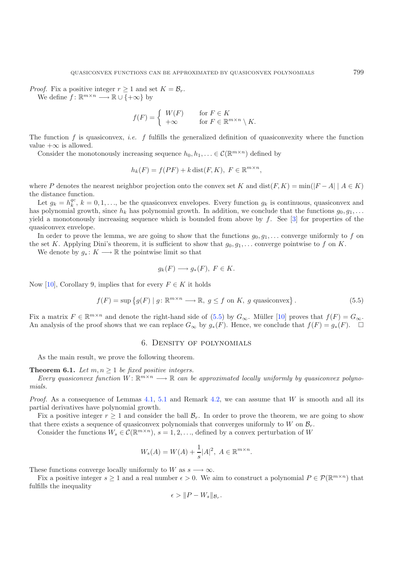*Proof.* Fix a positive integer  $r > 1$  and set  $K = \mathcal{B}_r$ . We define  $f: \mathbb{R}^{m \times n} \longrightarrow \mathbb{R} \cup \{+\infty\}$  by

$$
f(F) = \begin{cases} W(F) & \text{for } F \in K \\ +\infty & \text{for } F \in \mathbb{R}^{m \times n} \setminus K. \end{cases}
$$

The function f is quasiconvex, *i.e.* f fulfills the generalized definition of quasiconvexity where the function value  $+\infty$  is allowed.

Consider the monotonously increasing sequence  $h_0, h_1, \ldots \in \mathcal{C}(\mathbb{R}^{m \times n})$  defined by

$$
h_k(F) = f(PF) + k \operatorname{dist}(F, K), \ F \in \mathbb{R}^{m \times n},
$$

where P denotes the nearest neighbor projection onto the convex set K and  $dist(F, K) = min(|F - A| | A \in K)$ the distance function.

<span id="page-4-2"></span>Let  $g_k = h_k^{qc}$ ,  $k = 0, 1, \ldots$ , be the quasiconvex envelopes. Every function  $g_k$  is continuous, quasiconvex and  $k$  be a polynomial growth. In addition, we conclude that the functions  $g_k$  a has polynomial growth, since  $h_k$  has polynomial growth. In addition, we conclude that the functions  $g_0, g_1, \ldots$ yield a monotonously increasing sequence which is bounded from above by f. See  $[3]$  $[3]$  for properties of the quasiconvex envelope.

In order to prove the lemma, we are going to show that the functions  $g_0, g_1, \ldots$  converge uniformly to f on the set K. Applying Dini's theorem, it is sufficient to show that  $g_0, g_1, \ldots$  converge pointwise to f on K.

We denote by  $g_*: K \longrightarrow \mathbb{R}$  the pointwise limit so that

$$
g_k(F) \longrightarrow g_*(F), \ F \in K.
$$

Now [\[10\]](#page-6-11), Corollary 9, implies that for every  $F \in K$  it holds

$$
f(F) = \sup \{ g(F) \mid g \colon \mathbb{R}^{m \times n} \longrightarrow \mathbb{R}, g \le f \text{ on } K, g \text{ quasiconvex} \}.
$$
 (5.5)

<span id="page-4-1"></span>Fix a matrix  $F \in \mathbb{R}^{m \times n}$  and denote the right-hand side of [\(5.5\)](#page-4-2) by  $G_{\infty}$ . Müller [\[10](#page-6-11)] proves that  $f(F) = G_{\infty}$ . An analysis of the proof shows that we can replace  $G_{\infty}$  by  $g_*(F)$ . Hence, we conclude that  $f(F) = g_*(F)$ .  $\Box$ 

#### 6. Density of polynomials

As the main result, we prove the following theorem.

<span id="page-4-0"></span>**Theorem 6.1.** *Let*  $m, n \geq 1$  *be fixed positive integers.* 

*Every quasiconvex function*  $W: \mathbb{R}^{m \times n} \longrightarrow \mathbb{R}$  can be approximated locally uniformly by quasiconvex polyno*mials.*

*Proof.* As a consequence of Lemmas [4.1,](#page-3-4) [5.1](#page-3-5) and Remark [4.2,](#page-3-6) we can assume that W is smooth and all its partial derivatives have polynomial growth.

Fix a positive integer  $r \geq 1$  and consider the ball  $\mathcal{B}_r$ . In order to prove the theorem, we are going to show that there exists a sequence of quasiconvex polynomials that converges uniformly to W on  $\mathcal{B}_r$ .

Consider the functions  $W_s \in \mathcal{C}(\mathbb{R}^{m \times n})$ ,  $s = 1, 2, \ldots$ , defined by a convex perturbation of W

$$
W_s(A) = W(A) + \frac{1}{s}|A|^2, A \in \mathbb{R}^{m \times n}.
$$

These functions converge locally uniformly to W as  $s \longrightarrow \infty$ .

Fix a positive integer  $s \ge 1$  and a real number  $\epsilon > 0$ . We aim to construct a polynomial  $P \in \mathcal{P}(\mathbb{R}^{m \times n})$  that fulfills the inequality

$$
\epsilon > \|P - W_s\|_{\mathcal{B}_r}.
$$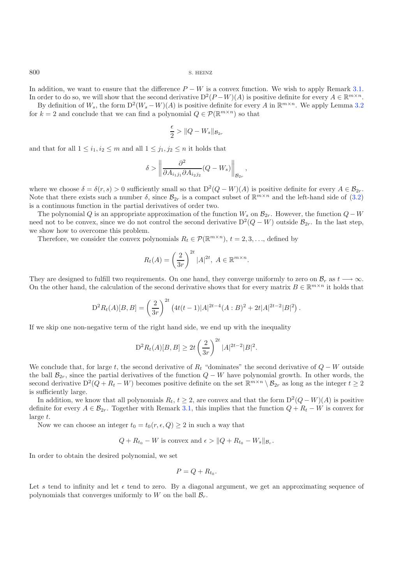800 S. HEINZ

In addition, we want to ensure that the difference  $P - W$  is a convex function. We wish to apply Remark [3.1.](#page-2-1) In order to do so, we will show that the second derivative  $D^2(P-W)(A)$  is positive definite for every  $A \in \mathbb{R}^{m \times n}$ .

By definition of  $W_s$ , the form  $D^2(W_s - W)(A)$  is positive definite for every A in  $\mathbb{R}^{m \times n}$ . We apply Lemma [3.2](#page-2-2) for  $k = 2$  and conclude that we can find a polynomial  $Q \in \mathcal{P}(\mathbb{R}^{m \times n})$  so that

$$
\frac{\epsilon}{2} > \|Q - W_s\|_{\mathcal{B}_{2r}}
$$

and that for all  $1 \leq i_1, i_2 \leq m$  and all  $1 \leq j_1, j_2 \leq n$  it holds that

$$
\delta > \left\| \frac{\partial^2}{\partial A_{i_1 j_1} \partial A_{i_2 j_2}} (Q - W_s) \right\|_{\mathcal{B}_{2r}},
$$

where we choose  $\delta = \delta(r, s) > 0$  sufficiently small so that  $D^2(Q - W)(A)$  is positive definite for every  $A \in \mathcal{B}_{2r}$ . Note that there exists such a number  $\delta$ , since  $\mathcal{B}_{2r}$  is a compact subset of  $\mathbb{R}^{m \times n}$  and the left-hand side of [\(3.2\)](#page-2-3) is a continuous function in the partial derivatives of order two.

The polynomial Q is an appropriate approximation of the function  $W_s$  on  $\mathcal{B}_{2r}$ . However, the function  $Q-W$ need not to be convex, since we do not control the second derivative  $D^2(Q - W)$  outside  $\mathcal{B}_{2r}$ . In the last step, we show how to overcome this problem.

Therefore, we consider the convex polynomials  $R_t \in \mathcal{P}(\mathbb{R}^{m \times n})$ ,  $t = 2, 3, \ldots$ , defined by

$$
R_t(A) = \left(\frac{2}{3r}\right)^{2t} |A|^{2t}, \ A \in \mathbb{R}^{m \times n}.
$$

They are designed to fulfill two requirements. On one hand, they converge uniformly to zero on  $\mathcal{B}_r$  as  $t \to \infty$ . On the other hand, the calculation of the second derivative shows that for every matrix  $B \in \mathbb{R}^{m \times n}$  it holds that

$$
D^{2}R_{t}(A)[B,B] = \left(\frac{2}{3r}\right)^{2t} \left(4t(t-1)|A|^{2t-4}(A:B)^{2} + 2t|A|^{2t-2}|B|^{2}\right).
$$

If we skip one non-negative term of the right hand side, we end up with the inequality

$$
D^{2}R_{t}(A)[B,B] \ge 2t \left(\frac{2}{3r}\right)^{2t} |A|^{2t-2}|B|^{2}.
$$

We conclude that, for large t, the second derivative of  $R_t$  "dominates" the second derivative of  $Q - W$  outside the ball  $\mathcal{B}_{2r}$ , since the partial derivatives of the function  $Q - W$  have polynomial growth. In other words, the second derivative  $D^2(Q + R_t - W)$  becomes positive definite on the set  $\mathbb{R}^{m \times n} \setminus \mathcal{B}_{2r}$  as long as the integer  $t \geq 2$ is sufficiently large.

In addition, we know that all polynomials  $R_t$ ,  $t \geq 2$ , are convex and that the form  $D^2(Q - W)(A)$  is positive definite for every  $A \in \mathcal{B}_{2r}$ . Together with Remark [3.1,](#page-2-1) this implies that the function  $Q + R_t - W$  is convex for large t.

Now we can choose an integer  $t_0 = t_0(r, \epsilon, Q) \geq 2$  in such a way that

$$
Q + R_{t_0} - W
$$
 is convex and 
$$
\epsilon > ||Q + R_{t_0} - W_s||_{\mathcal{B}_r}.
$$

In order to obtain the desired polynomial, we set

$$
P=Q+R_{t_0}.
$$

Let s tend to infinity and let  $\epsilon$  tend to zero. By a diagonal argument, we get an approximating sequence of polynomials that converges uniformly to W on the ball  $\mathcal{B}_r$ .